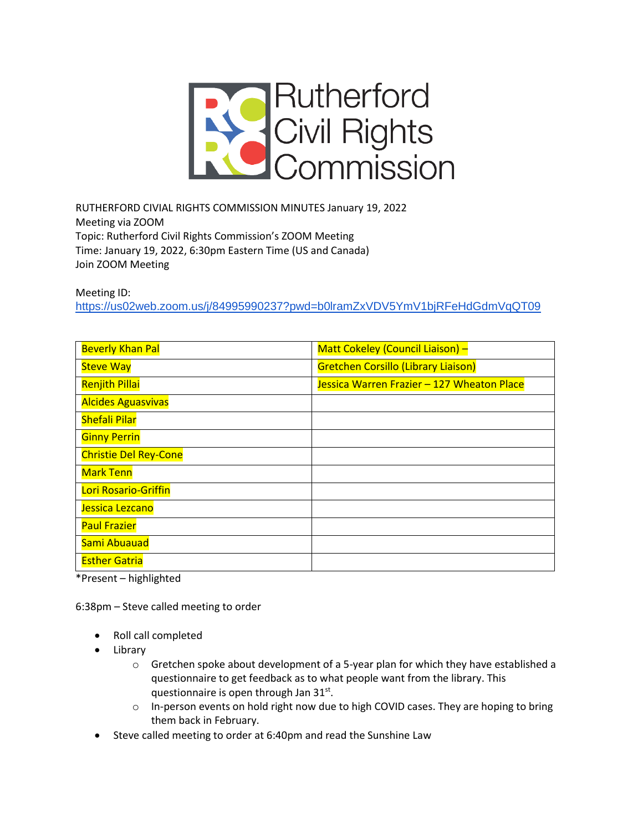

RUTHERFORD CIVIAL RIGHTS COMMISSION MINUTES January 19, 2022 Meeting via ZOOM Topic: Rutherford Civil Rights Commission's ZOOM Meeting Time: January 19, 2022, 6:30pm Eastern Time (US and Canada) Join ZOOM Meeting

Meeting ID:

<https://us02web.zoom.us/j/84995990237?pwd=b0lramZxVDV5YmV1bjRFeHdGdmVqQT09>

| <b>Beverly Khan Pal</b>      | Matt Cokeley (Council Liaison) -           |
|------------------------------|--------------------------------------------|
| <b>Steve Way</b>             | <b>Gretchen Corsillo (Library Liaison)</b> |
| <b>Renjith Pillai</b>        | Jessica Warren Frazier - 127 Wheaton Place |
| <b>Alcides Aguasvivas</b>    |                                            |
| <b>Shefali Pilar</b>         |                                            |
| <b>Ginny Perrin</b>          |                                            |
| <b>Christie Del Rey-Cone</b> |                                            |
| <b>Mark Tenn</b>             |                                            |
| Lori Rosario-Griffin         |                                            |
| Jessica Lezcano              |                                            |
| <b>Paul Frazier</b>          |                                            |
| Sami Abuauad                 |                                            |
| <b>Esther Gatria</b>         |                                            |

\*Present – highlighted

6:38pm – Steve called meeting to order

- Roll call completed
- Library
	- $\circ$  Gretchen spoke about development of a 5-year plan for which they have established a questionnaire to get feedback as to what people want from the library. This questionnaire is open through Jan 31st.
	- $\circ$  In-person events on hold right now due to high COVID cases. They are hoping to bring them back in February.
- Steve called meeting to order at 6:40pm and read the Sunshine Law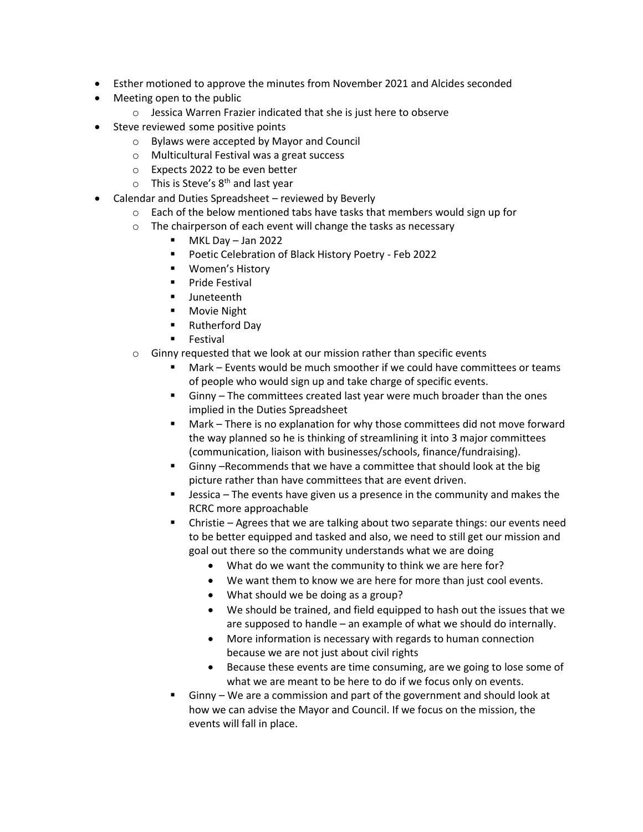- Esther motioned to approve the minutes from November 2021 and Alcides seconded
- Meeting open to the public
	- o Jessica Warren Frazier indicated that she is just here to observe
- Steve reviewed some positive points
	- o Bylaws were accepted by Mayor and Council
	- o Multicultural Festival was a great success
	- o Expects 2022 to be even better
	- $\circ$  This is Steve's 8<sup>th</sup> and last year
- Calendar and Duties Spreadsheet reviewed by Beverly
	- $\circ$  Each of the below mentioned tabs have tasks that members would sign up for
	- o The chairperson of each event will change the tasks as necessary
		- MKL Day Jan 2022
		- Poetic Celebration of Black History Poetry Feb 2022
		- Women's History
		- Pride Festival
		- Juneteenth
		- Movie Night
		- Rutherford Day
		- **Festival**
	- o Ginny requested that we look at our mission rather than specific events
		- Mark Events would be much smoother if we could have committees or teams of people who would sign up and take charge of specific events.
		- Ginny The committees created last year were much broader than the ones implied in the Duties Spreadsheet
		- Mark There is no explanation for why those committees did not move forward the way planned so he is thinking of streamlining it into 3 major committees (communication, liaison with businesses/schools, finance/fundraising).
		- Ginny –Recommends that we have a committee that should look at the big picture rather than have committees that are event driven.
		- Jessica The events have given us a presence in the community and makes the RCRC more approachable
		- Christie Agrees that we are talking about two separate things: our events need to be better equipped and tasked and also, we need to still get our mission and goal out there so the community understands what we are doing
			- What do we want the community to think we are here for?
			- We want them to know we are here for more than just cool events.
			- What should we be doing as a group?
			- We should be trained, and field equipped to hash out the issues that we are supposed to handle – an example of what we should do internally.
			- More information is necessary with regards to human connection because we are not just about civil rights
			- Because these events are time consuming, are we going to lose some of what we are meant to be here to do if we focus only on events.
		- Ginny We are a commission and part of the government and should look at how we can advise the Mayor and Council. If we focus on the mission, the events will fall in place.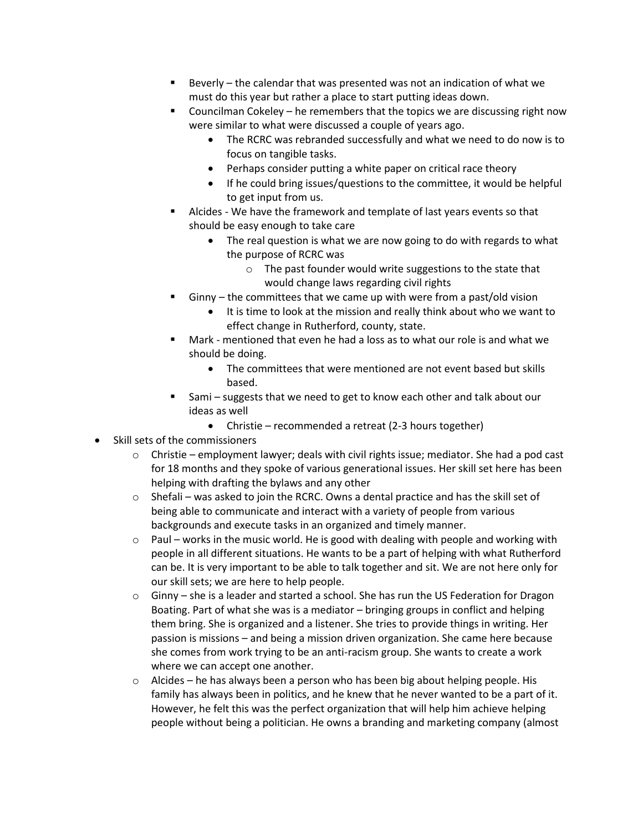- Beverly  $-$  the calendar that was presented was not an indication of what we must do this year but rather a place to start putting ideas down.
- Councilman Cokeley he remembers that the topics we are discussing right now were similar to what were discussed a couple of years ago.
	- The RCRC was rebranded successfully and what we need to do now is to focus on tangible tasks.
	- Perhaps consider putting a white paper on critical race theory
	- If he could bring issues/questions to the committee, it would be helpful to get input from us.
- Alcides We have the framework and template of last years events so that should be easy enough to take care
	- The real question is what we are now going to do with regards to what the purpose of RCRC was
		- o The past founder would write suggestions to the state that would change laws regarding civil rights
- $G$ inny the committees that we came up with were from a past/old vision
	- It is time to look at the mission and really think about who we want to effect change in Rutherford, county, state.
- Mark mentioned that even he had a loss as to what our role is and what we should be doing.
	- The committees that were mentioned are not event based but skills based.
- Sami suggests that we need to get to know each other and talk about our ideas as well
	- Christie recommended a retreat (2-3 hours together)
- Skill sets of the commissioners
	- $\circ$  Christie employment lawyer; deals with civil rights issue; mediator. She had a pod cast for 18 months and they spoke of various generational issues. Her skill set here has been helping with drafting the bylaws and any other
	- $\circ$  Shefali was asked to join the RCRC. Owns a dental practice and has the skill set of being able to communicate and interact with a variety of people from various backgrounds and execute tasks in an organized and timely manner.
	- $\circ$  Paul works in the music world. He is good with dealing with people and working with people in all different situations. He wants to be a part of helping with what Rutherford can be. It is very important to be able to talk together and sit. We are not here only for our skill sets; we are here to help people.
	- $\circ$  Ginny she is a leader and started a school. She has run the US Federation for Dragon Boating. Part of what she was is a mediator – bringing groups in conflict and helping them bring. She is organized and a listener. She tries to provide things in writing. Her passion is missions – and being a mission driven organization. She came here because she comes from work trying to be an anti-racism group. She wants to create a work where we can accept one another.
	- $\circ$  Alcides he has always been a person who has been big about helping people. His family has always been in politics, and he knew that he never wanted to be a part of it. However, he felt this was the perfect organization that will help him achieve helping people without being a politician. He owns a branding and marketing company (almost